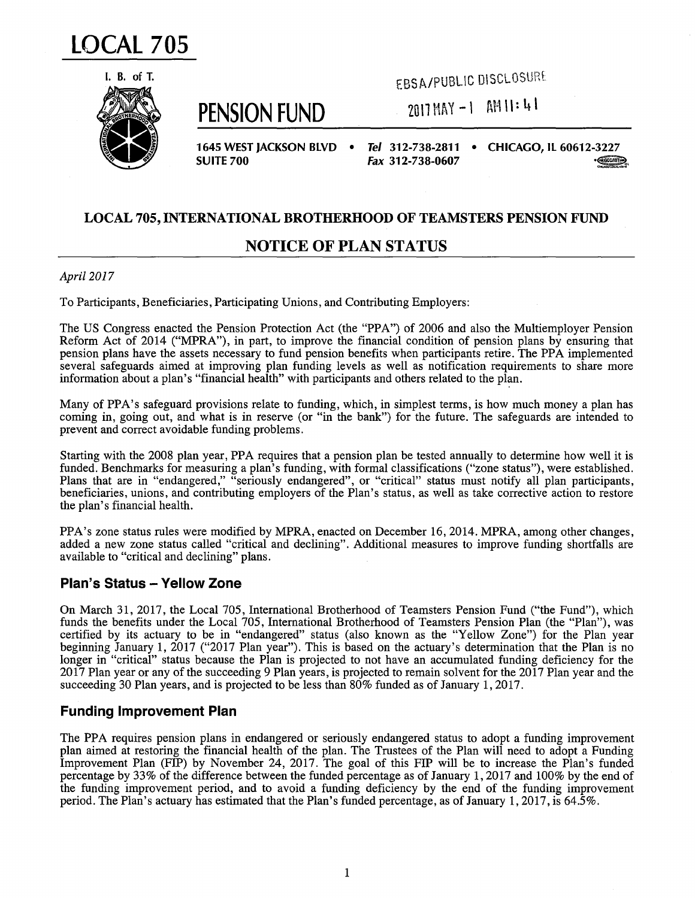



**PENSION FUND** 

EBSA/PUBLIC DISCLOSUnt

 $2017$  MAY  $-1$  am  $11: 41$ 

**1645 WEST JACKSON BLVD** • **SUITE 700** 

*Tel* **312-738-2811 • CHICAGO, IL 60612-3227 Fax 312-738-0607** ·~,

## **LOCAL 705, INTERNATIONAL BROTHERHOOD OF TEAMSTERS PENSION FUND**

# **NOTICE OF PLAN STATUS**

#### *April 2017*

To Participants, Beneficiaries, Participating Unions, and Contributing Employers:

The US Congress enacted the Pension Protection Act (the "PPA") of 2006 and also the Multiemployer Pension Reform Act of 2014 ("MPRA"), in part, to improve the financial condition of pension plans by ensuring that pension plans have the assets necessary to fund pension benefits when participants retire. The PPA implemented several safeguards aimed at improving plan funding levels as well as notification requirements to share more information about a plan's "financial health" with participants and others related to the plan.

Many of PPA's safeguard provisions relate to funding, which, in simplest terms, is how much money a plan has coming in, going out, and what is in reserve (or "in the bank") for the future. The safeguards are intended to prevent and correct avoidable funding problems.

Starting with the 2008 plan year, PPA requires that a pension plan be tested annually to determine how well it is funded. Benchmarks for measuring a plan's funding, with formal classifications ("zone status"), were established. Plans that are in "endangered," "seriously endangered", or "critical" status must notify all plan participants, beneficiaries, unions, and contributing employers of the Plan's status, as well as take corrective action to restore the plan's financial health.

PPA's zone status rules were modified by MPRA, enacted on December 16, 2014. MPRA, among other changes, added a new zone status called "critical and declining". Additional measures to improve funding shortfalls are available to "critical and declining" plans.

### **Plan's Status - Yellow Zone**

On March 31, 2017, the Local 705, International Brotherhood of Teamsters Pension Fund ("the Fund"), which funds the benefits under the Local 705, International Brotherhood of Teamsters Pension Plan (the "Plan"), was certified by its actuary to be in "endangered" status (also known as the "Yellow Zone") for the Plan year beginning January 1, 2017 ("2017 Plan year"). This is based on the actuary's determination that the Plan is no longer in "critical" status because the Plan is projected to not have an accumulated funding deficiency for the 2017 Plan year or any of the succeeding 9 Plan years, is projected to remain solvent for the 2017 Plan year and the succeeding 30 Plan years, and is projected to be less than 80% funded as of January 1, 2017.

### **Funding Improvement Plan**

The PPA requires pension plans in endangered or seriously endangered status to adopt a funding improvement plan aimed at restoring the financial health of the plan. The Trustees of the Plan will need to adopt a Funding Improvement Plan (FIP) by November 24, 2017. The goal of this FIP will be to increase the Plan's funded percentage by 33% of the difference between the funded percentage as of January 1, 2017 and 100% by the end of the funding improvement period, and to avoid a funding deficiency by the end of the funding improvement period. The Plan's actuary has estimated that the Plan's funded percentage, as of January 1, 2017, is 64.5%.